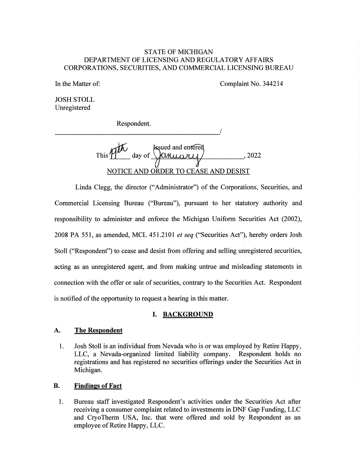### STATE OF MICHIGAN DEPARTMENT OF LICENSING AND REGULATORY AFFAIRS CORPORATIONS, SECURITIES, AND COMMERCIAL LICENSING BUREAU

In the Matter of: Complaint No. 344214

JOSH STOLL Unregistered

Respondent.

Issued and entered This  $M^{\nu}$  day of  $\sqrt{\frac{\text{M}}{\text{M}}\cdot\frac{1}{\text{M}}}$ , 2022 NOTICE AND ORDER TO CEASE AND DESIST

Linda Clegg, the director ("Administrator") of the Corporations, Securities, and Commercial Licensing Bureau ("Bureau"), pursuant to her statutory authority and responsibility to administer and enforce the Michigan Uniform Securities Act (2002), 2008 PA 551, as amended, MCL 451.2101 et seq ("Securities Act"), hereby orders Josh Stoll ("Respondent") to cease and desist from offering and selling unregistered securities, acting as an unregistered agent, and from making untrue and misleading statements in connection with the offer or sale of securities, contrary to the Securities Act. Respondent is notified of the opportunity to request a hearing in this matter.

#### I. BACKGROUND

# A. The Respondent

1. Josh Stoll is an individual from Nevada who is or was employed by Retire Happy, LLC, a Nevada-organized limited liability company. Respondent holds no registrations and has registered no securities offerings under the Securities Act in Michigan.

#### B. Findings of Fact

1. Bureau staff investigated Respondent's activities under the Securities Act after receiving a consumer complaint related to investments in DNF Gap Funding, LLC and CryoTherm USA, Inc. that were offered and sold by Respondent as an employee of Retire Happy, LLC.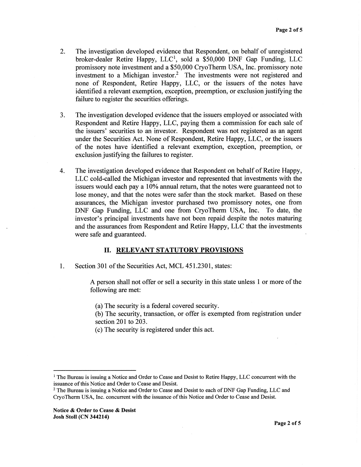- 2. The investigation developed evidence that Respondent, on behalf of unregistered broker-dealer Retire Happy, LLC<sup>1</sup>, sold a \$50,000 DNF Gap Funding, LLC promissory note investment and a \$50,000 CryoTherm USA, Inc. promissory note investment to a Michigan investor? The investments were not registered and none of Respondent, Retire Happy, LLC, or the issuers of the notes have identified a relevant exemption, exception, preemption, or exclusion justifying the failure to register the securities offerings.
- 3. The investigation developed evidence that the issuers employed or associated with Respondent and Retire Happy, LLC, paying them a commission for each sale of the issuers' securities to an investor. Respondent was not registered as an agent under the Securities Act. None of Respondent, Retire Happy, LLC, or the issuers of the notes have identified a relevant exemption, exception, preemption, or exclusion justifying the failures to register.
- 4. The investigation developed evidence that Respondent on behalf of Retire Happy, LLC cold-called the Michigan investor and represented that investments with the issuers would each pay a 10% annual return, that the notes were guaranteed not to lose money, and that the notes were safer than the stock market. Based on these assurances, the Michigan investor purchased two promissory notes, one from DNF Gap Funding, LLC and one from CryoTherm USA, Inc. To date, the investor's principal investments have not been repaid despite the notes maturing and the assurances from Respondent and Retire Happy, LLC that the investments were safe and guaranteed.

#### II. RELEVANT STATUTORY PROVISIONS

1. Section 301 of the Securities Act, MCL 451.2301, states:

A person shall not offer or sell a security in this state unless 1 or more of the following are met:

(a) The security is a federal covered security.

(b) The security, transaction, or offer is exempted from registration under section 201 to 203.

(c) The security is registered under this act.

<sup>&</sup>lt;sup>1</sup> The Bureau is issuing a Notice and Order to Cease and Desist to Retire Happy, LLC concurrent with the issuance of this Notice and Order to Cease and Desist.

<sup>2</sup> The Bureau is issuing a Notice and Order to Cease and Desist to each of DNF Gap Funding, LLC and CryoTherm USA, Inc. concurrent with the issuance of this Notice and Order to Cease and Desist.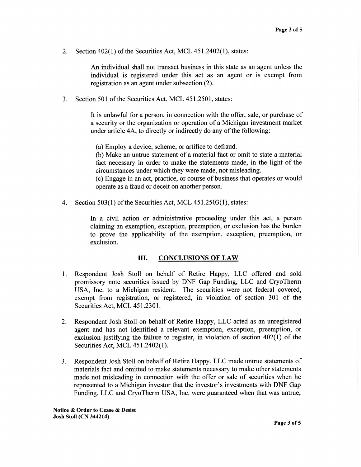2. Section 402(1) of the Securities Act, MCL 451.2402(1), states:

An individual shall not transact business in this state as an agent unless the individual is registered under this act as an agent or is exempt from registration as an agent under subsection (2).

3. Section 501 of the Securities Act, MCL 451.2501, states:

It is unlawful for a person, in connection with the offer, sale, or purchase of a security or the organization or operation of a Michigan investment market under article 4A, to directly or indirectly do any of the following:

(a) Employ a device, scheme, or artifice to defraud.

(b) Make an untrue statement of a material fact or omit to state a material fact necessary in order to make the statements made, in the light of the circumstances under which they were made, not misleading.

(c) Engage in an act, practice, or course of business that operates or would operate as a fraud or deceit on another person.

4. Section 503(1) of the Securities Act, MCL 451.2503(1), states:

In a civil action or administrative proceeding under this act, a person claiming an exemption, exception, preemption, or exclusion has the burden to prove the applicability of the exemption, exception, preemption, or exclusion.

#### III. CONCLUSIONS OF LAW

- 1. Respondent Josh Stoll on behalf of Retire Happy, LLC offered and sold promissory note securities issued by DNF Gap Funding, LLC and CryoTherm USA, Inc. to a Michigan resident. The securities were not federal covered, exempt from registration, or registered, in violation of section 301 of the Securities Act, MCL 451.2301.
- 2. Respondent Josh Stoll on behalf of Retire Happy, LLC acted as an unregistered agent and has not identified a relevant exemption, exception, preemption, or exclusion justifying the failure to register, in violation of section 402(1) of the Securities Act, MCL 451.2402(1).
- 3. Respondent Josh Stoll on behalf of Retire Happy, LLC made untrue statements of materials fact and omitted to make statements necessary to make other statements made not misleading in connection with the offer or sale of securities when he represented to a Michigan investor that the investor's investments with DNF Gap Funding, LLC and CryoTherm USA, Inc. were guaranteed when that was untrue,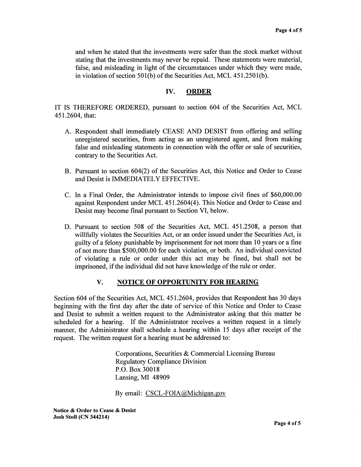and when he stated that the investments were safer than the stock market without stating that the investments may never be repaid. These statements were material, false, and misleading in light of the circumstances under which they were made, in violation of section 501(b) of the Securities Act, MCL 451.2501(b).

# IV. ORDER

IT IS THEREFORE ORDERED, pursuant to section 604 of the Securities Act, MCL 451.2604, that:

- A. Respondent shall immediately CEASE AND DESIST from offering and selling unregistered securities, from acting as an unregistered agent, and from making false and misleading statements in connection with the offer or sale of securities, contrary to the Securities Act.
- B. Pursuant to section 604(2) of the Securities Act, this Notice and Order to Cease and Desist is IMMEDIATELY EFFECTIVE.
- C. In a Final Order, the Administrator intends to impose civil fines of \$60,000.00 against Respondent under MCL 451.2604(4). This Notice and Order to Cease and Desist may become final pursuant to Section VI, below.
- D. Pursuant to section 508 of the Securities Act, MCL 451.2508, a person that willfully violates the Securities Act, or an order issued under the Securities Act, is guilty of a felony punishable by imprisonment for not more than 10 years or a fine of not more than \$500,000.00 for each violation, or both. An individual convicted of violating a rule or order under this act may be fined, but shall not be imprisoned, if the individual did not have knowledge of the rule or order.

### V. NOTICE OF OPPORTUNITY FOR HEARING

Section 604 of the Securities Act, MCL 451.2604, provides that Respondent has 30 days beginning with the first day after the date of service of this Notice and Order to Cease and Desist to submit a written request to the Administrator asking that this matter be scheduled for a hearing. If the Administrator receives a written request in a timely manner, the Administrator shall schedule a hearing within 15 days after receipt of the request. The written request for a hearing must be addressed to:

> Corporations, Securities & Commercial Licensing Bureau Regulatory Compliance Division P.O. Box 30018 Lansing, MI 48909

By email: CSCL-FOIA@Michigan.gov

Notice & Order to Cease & Desist Josh Stoll (CN 344214)